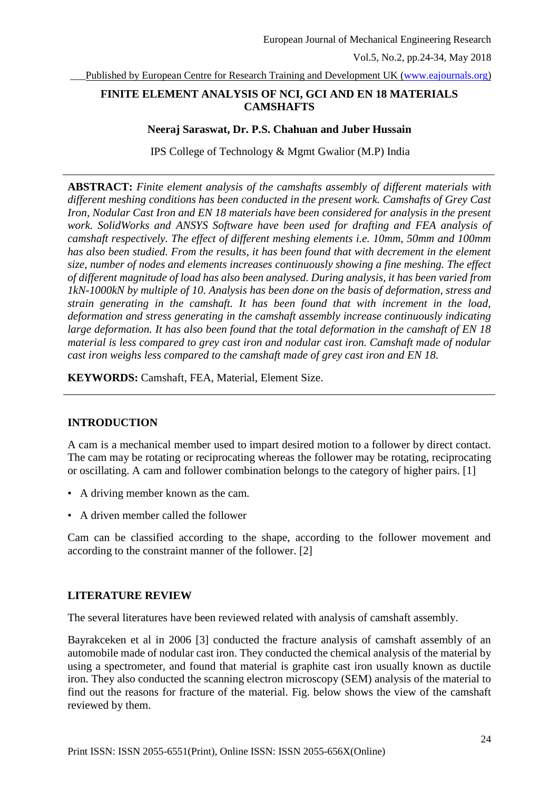Published by European Centre for Research Training and Development UK [\(www.eajournals.org\)](http://www.eajournals.org/)

# **FINITE ELEMENT ANALYSIS OF NCI, GCI AND EN 18 MATERIALS CAMSHAFTS**

#### **Neeraj Saraswat, Dr. P.S. Chahuan and Juber Hussain**

IPS College of Technology & Mgmt Gwalior (M.P) India

**ABSTRACT:** *Finite element analysis of the camshafts assembly of different materials with different meshing conditions has been conducted in the present work. Camshafts of Grey Cast Iron, Nodular Cast Iron and EN 18 materials have been considered for analysis in the present work. SolidWorks and ANSYS Software have been used for drafting and FEA analysis of camshaft respectively. The effect of different meshing elements i.e. 10mm, 50mm and 100mm*  has also been studied. From the results, it has been found that with decrement in the element *size, number of nodes and elements increases continuously showing a fine meshing. The effect of different magnitude of load has also been analysed. During analysis, it has been varied from 1kN-1000kN by multiple of 10. Analysis has been done on the basis of deformation, stress and strain generating in the camshaft. It has been found that with increment in the load, deformation and stress generating in the camshaft assembly increase continuously indicating large deformation. It has also been found that the total deformation in the camshaft of EN 18 material is less compared to grey cast iron and nodular cast iron. Camshaft made of nodular cast iron weighs less compared to the camshaft made of grey cast iron and EN 18.*

**KEYWORDS:** Camshaft, FEA, Material, Element Size.

# **INTRODUCTION**

A cam is a mechanical member used to impart desired motion to a follower by direct contact. The cam may be rotating or reciprocating whereas the follower may be rotating, reciprocating or oscillating. A cam and follower combination belongs to the category of higher pairs. [1]

- A driving member known as the cam.
- A driven member called the follower

Cam can be classified according to the shape, according to the follower movement and according to the constraint manner of the follower. [2]

# **LITERATURE REVIEW**

The several literatures have been reviewed related with analysis of camshaft assembly.

Bayrakceken et al in 2006 [3] conducted the fracture analysis of camshaft assembly of an automobile made of nodular cast iron. They conducted the chemical analysis of the material by using a spectrometer, and found that material is graphite cast iron usually known as ductile iron. They also conducted the scanning electron microscopy (SEM) analysis of the material to find out the reasons for fracture of the material. Fig. below shows the view of the camshaft reviewed by them.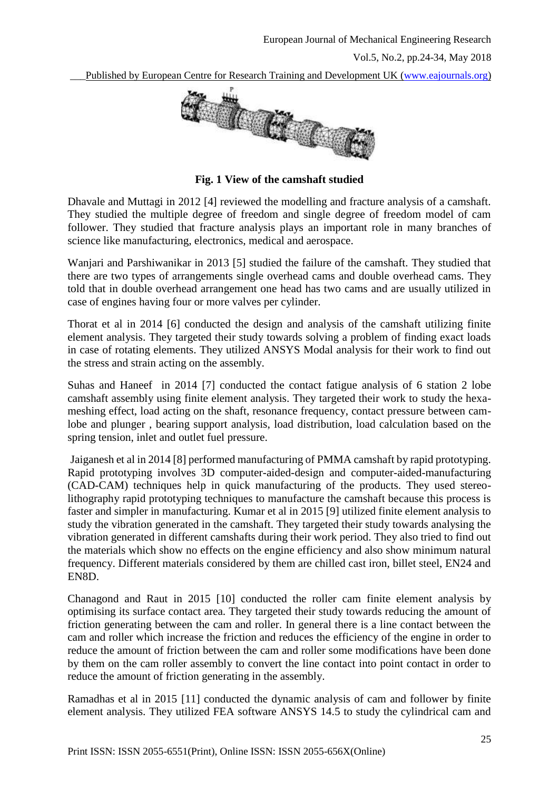

**Fig. 1 View of the camshaft studied**

Dhavale and Muttagi in 2012 [4] reviewed the modelling and fracture analysis of a camshaft. They studied the multiple degree of freedom and single degree of freedom model of cam follower. They studied that fracture analysis plays an important role in many branches of science like manufacturing, electronics, medical and aerospace.

Wanjari and Parshiwanikar in 2013 [5] studied the failure of the camshaft. They studied that there are two types of arrangements single overhead cams and double overhead cams. They told that in double overhead arrangement one head has two cams and are usually utilized in case of engines having four or more valves per cylinder.

Thorat et al in 2014 [6] conducted the design and analysis of the camshaft utilizing finite element analysis. They targeted their study towards solving a problem of finding exact loads in case of rotating elements. They utilized ANSYS Modal analysis for their work to find out the stress and strain acting on the assembly.

Suhas and Haneef in 2014 [7] conducted the contact fatigue analysis of 6 station 2 lobe camshaft assembly using finite element analysis. They targeted their work to study the hexameshing effect, load acting on the shaft, resonance frequency, contact pressure between camlobe and plunger , bearing support analysis, load distribution, load calculation based on the spring tension, inlet and outlet fuel pressure.

Jaiganesh et al in 2014 [8] performed manufacturing of PMMA camshaft by rapid prototyping. Rapid prototyping involves 3D computer-aided-design and computer-aided-manufacturing (CAD-CAM) techniques help in quick manufacturing of the products. They used stereolithography rapid prototyping techniques to manufacture the camshaft because this process is faster and simpler in manufacturing. Kumar et al in 2015 [9] utilized finite element analysis to study the vibration generated in the camshaft. They targeted their study towards analysing the vibration generated in different camshafts during their work period. They also tried to find out the materials which show no effects on the engine efficiency and also show minimum natural frequency. Different materials considered by them are chilled cast iron, billet steel, EN24 and EN8D.

Chanagond and Raut in 2015 [10] conducted the roller cam finite element analysis by optimising its surface contact area. They targeted their study towards reducing the amount of friction generating between the cam and roller. In general there is a line contact between the cam and roller which increase the friction and reduces the efficiency of the engine in order to reduce the amount of friction between the cam and roller some modifications have been done by them on the cam roller assembly to convert the line contact into point contact in order to reduce the amount of friction generating in the assembly.

Ramadhas et al in 2015 [11] conducted the dynamic analysis of cam and follower by finite element analysis. They utilized FEA software ANSYS 14.5 to study the cylindrical cam and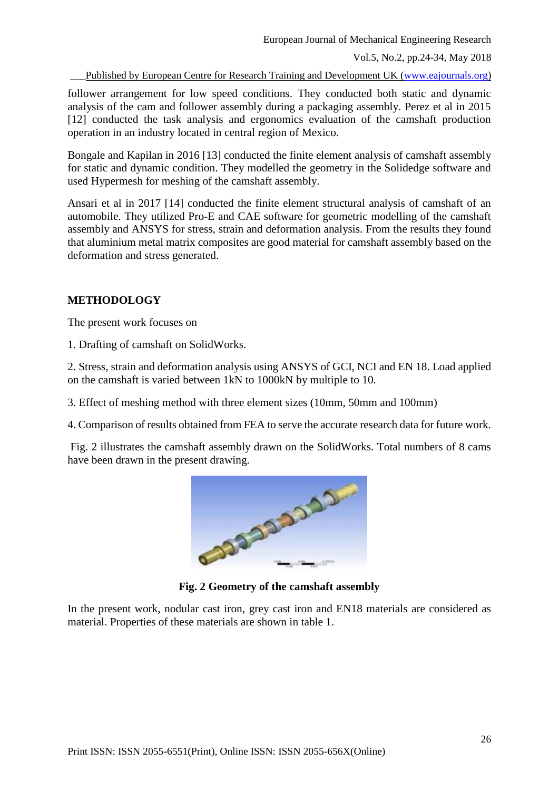Published by European Centre for Research Training and Development UK [\(www.eajournals.org\)](http://www.eajournals.org/)

follower arrangement for low speed conditions. They conducted both static and dynamic analysis of the cam and follower assembly during a packaging assembly. Perez et al in 2015 [12] conducted the task analysis and ergonomics evaluation of the camshaft production operation in an industry located in central region of Mexico.

Bongale and Kapilan in 2016 [13] conducted the finite element analysis of camshaft assembly for static and dynamic condition. They modelled the geometry in the Solidedge software and used Hypermesh for meshing of the camshaft assembly.

Ansari et al in 2017 [14] conducted the finite element structural analysis of camshaft of an automobile. They utilized Pro-E and CAE software for geometric modelling of the camshaft assembly and ANSYS for stress, strain and deformation analysis. From the results they found that aluminium metal matrix composites are good material for camshaft assembly based on the deformation and stress generated.

# **METHODOLOGY**

The present work focuses on

1. Drafting of camshaft on SolidWorks.

2. Stress, strain and deformation analysis using ANSYS of GCI, NCI and EN 18. Load applied on the camshaft is varied between 1kN to 1000kN by multiple to 10.

3. Effect of meshing method with three element sizes (10mm, 50mm and 100mm)

4. Comparison of results obtained from FEA to serve the accurate research data for future work.

Fig. 2 illustrates the camshaft assembly drawn on the SolidWorks. Total numbers of 8 cams have been drawn in the present drawing.



**Fig. 2 Geometry of the camshaft assembly**

In the present work, nodular cast iron, grey cast iron and EN18 materials are considered as material. Properties of these materials are shown in table 1.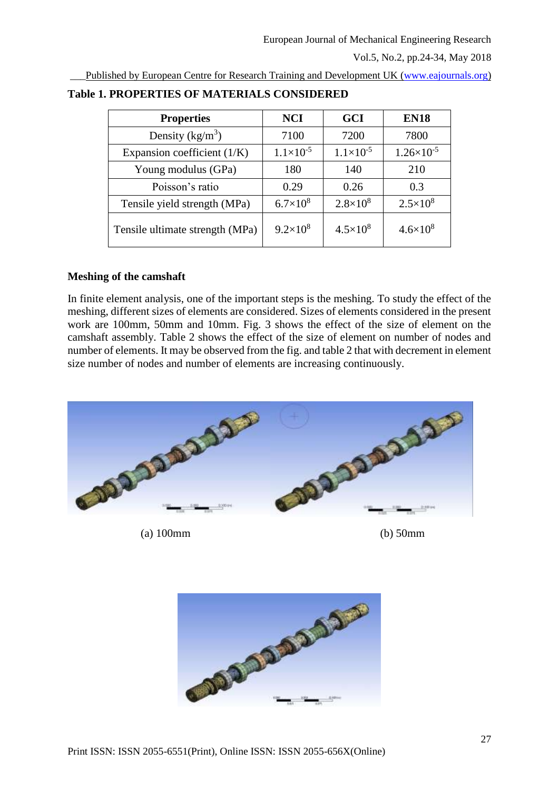Published by European Centre for Research Training and Development UK [\(www.eajournals.org\)](http://www.eajournals.org/)

| <b>Properties</b>               | <b>NCI</b>         | <b>GCI</b>           | <b>EN18</b>           |
|---------------------------------|--------------------|----------------------|-----------------------|
| Density $(kg/m^3)$              | 7100               | 7200                 | 7800                  |
| Expansion coefficient $(1/K)$   | $1.1\times10^{-5}$ | $1.1 \times 10^{-5}$ | $1.26 \times 10^{-5}$ |
| Young modulus (GPa)             | 180                | 140                  | 210                   |
| Poisson's ratio                 | 0.29               | 0.26                 | 0.3                   |
| Tensile yield strength (MPa)    | $6.7\times10^{8}$  | $2.8 \times 10^8$    | $2.5 \times 10^8$     |
| Tensile ultimate strength (MPa) | $9.2\times10^{8}$  | $4.5 \times 10^8$    | $4.6 \times 10^8$     |

# **Table 1. PROPERTIES OF MATERIALS CONSIDERED**

# **Meshing of the camshaft**

In finite element analysis, one of the important steps is the meshing. To study the effect of the meshing, different sizes of elements are considered. Sizes of elements considered in the present work are 100mm, 50mm and 10mm. Fig. 3 shows the effect of the size of element on the camshaft assembly. Table 2 shows the effect of the size of element on number of nodes and number of elements. It may be observed from the fig. and table 2 that with decrement in element size number of nodes and number of elements are increasing continuously.



(a) 100mm (b) 50mm

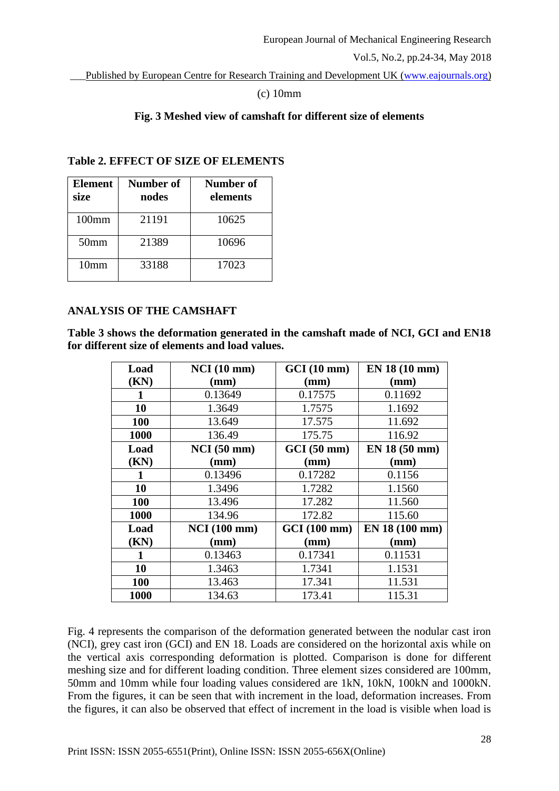\_\_\_Published by European Centre for Research Training and Development UK [\(www.eajournals.org\)](http://www.eajournals.org/)

# (c) 10mm

# **Fig. 3 Meshed view of camshaft for different size of elements**

# **Table 2. EFFECT OF SIZE OF ELEMENTS**

| <b>Element</b><br>size | Number of<br>nodes | <b>Number of</b><br>elements |
|------------------------|--------------------|------------------------------|
| 100mm                  | 21191              | 10625                        |
| 50 <sub>mm</sub>       | 21389              | 10696                        |
| 10 <sub>mm</sub>       | 33188              | 17023                        |

# **ANALYSIS OF THE CAMSHAFT**

**Table 3 shows the deformation generated in the camshaft made of NCI, GCI and EN18 for different size of elements and load values.**

| Load        | NCI(10 mm)          | GCI(10 mm)   | EN 18 (10 mm)  |
|-------------|---------------------|--------------|----------------|
| (KN)        | (mm)                | (mm)         | (mm)           |
|             | 0.13649             | 0.17575      | 0.11692        |
| 10          | 1.3649              | 1.7575       | 1.1692         |
| 100         | 13.649              | 17.575       | 11.692         |
| 1000        | 136.49              | 175.75       | 116.92         |
| Load        | $NCI(50$ mm)        | GCI(50 mm)   | EN 18 (50 mm)  |
| (KN)        | (mm)                | (mm)         | (mm)           |
| 1           | 0.13496             | 0.17282      | 0.1156         |
| 10          | 1.3496              | 1.7282       | 1.1560         |
| 100         | 13.496              | 17.282       | 11.560         |
| 1000        | 134.96              | 172.82       | 115.60         |
| Load        | <b>NCI</b> (100 mm) | GCI (100 mm) | EN 18 (100 mm) |
| (KN)        | (mm)                | (mm)         | (mm)           |
| 1           | 0.13463             | 0.17341      | 0.11531        |
| 10          | 1.3463              | 1.7341       | 1.1531         |
| 100         | 13.463              | 17.341       | 11.531         |
| <b>1000</b> | 134.63              | 173.41       | 115.31         |

Fig. 4 represents the comparison of the deformation generated between the nodular cast iron (NCI), grey cast iron (GCI) and EN 18. Loads are considered on the horizontal axis while on the vertical axis corresponding deformation is plotted. Comparison is done for different meshing size and for different loading condition. Three element sizes considered are 100mm, 50mm and 10mm while four loading values considered are 1kN, 10kN, 100kN and 1000kN. From the figures, it can be seen that with increment in the load, deformation increases. From the figures, it can also be observed that effect of increment in the load is visible when load is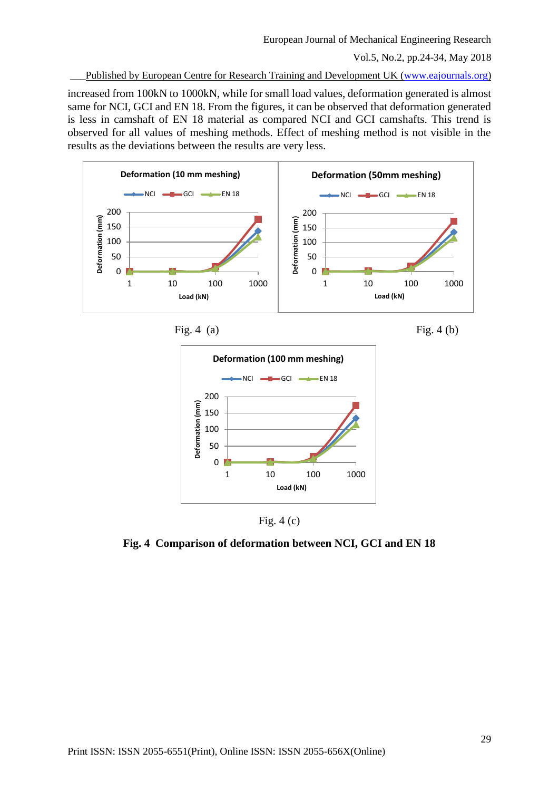Published by European Centre for Research Training and Development UK [\(www.eajournals.org\)](http://www.eajournals.org/)

increased from 100kN to 1000kN, while for small load values, deformation generated is almost same for NCI, GCI and EN 18. From the figures, it can be observed that deformation generated is less in camshaft of EN 18 material as compared NCI and GCI camshafts. This trend is observed for all values of meshing methods. Effect of meshing method is not visible in the results as the deviations between the results are very less.









Fig. 4 (c)

**Fig. 4 Comparison of deformation between NCI, GCI and EN 18**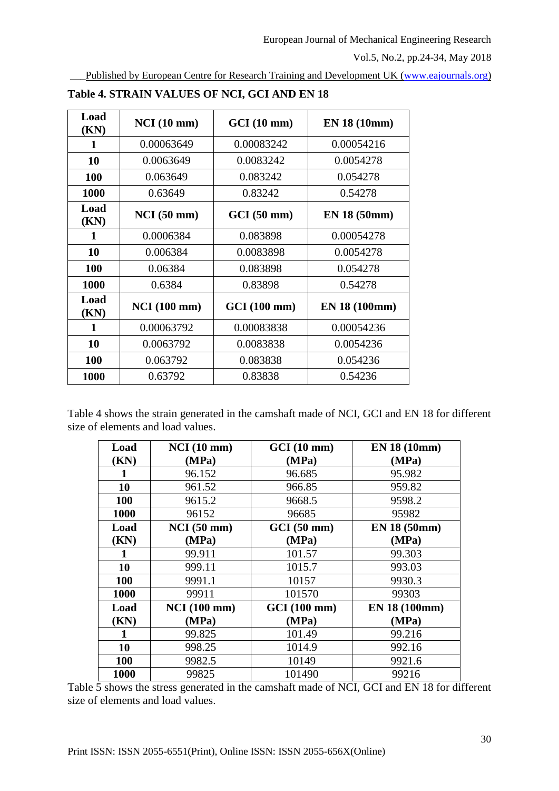Published by European Centre for Research Training and Development UK [\(www.eajournals.org\)](http://www.eajournals.org/)

| Load<br>(KN) | NCI(10mm)           | $GCI(10 \text{ mm})$ | EN 18 (10mm)        |
|--------------|---------------------|----------------------|---------------------|
| 1            | 0.00063649          | 0.00083242           | 0.00054216          |
| 10           | 0.0063649           | 0.0083242            | 0.0054278           |
| 100          | 0.063649            | 0.083242             | 0.054278            |
| 1000         | 0.63649             | 0.83242              | 0.54278             |
| Load<br>(KN) | $NCI(50$ mm)        | $GCI(50 \text{ mm})$ | <b>EN 18 (50mm)</b> |
| $\mathbf{1}$ | 0.0006384           | 0.083898             | 0.00054278          |
| 10           | 0.006384            | 0.0083898            | 0.0054278           |
| 100          | 0.06384             | 0.083898             | 0.054278            |
| 1000         | 0.6384              | 0.83898              | 0.54278             |
| Load<br>(KN) | <b>NCI</b> (100 mm) | GCI(100 mm)          | EN 18 (100mm)       |
| 1            | 0.00063792          | 0.00083838           | 0.00054236          |
| 10           | 0.0063792           | 0.0083838            | 0.0054236           |
| 100          | 0.063792            | 0.083838             | 0.054236            |
| 1000         | 0.63792             | 0.83838              | 0.54236             |

**Table 4. STRAIN VALUES OF NCI, GCI AND EN 18**

Table 4 shows the strain generated in the camshaft made of NCI, GCI and EN 18 for different size of elements and load values.

| Load       | $NCI(10$ mm)        | GCI(10 mm)   | <b>EN 18 (10mm)</b> |
|------------|---------------------|--------------|---------------------|
| (KN)       | (MPa)               | (MPa)        | (MPa)               |
|            | 96.152              | 96.685       | 95.982              |
| 10         | 961.52              | 966.85       | 959.82              |
| 100        | 9615.2              | 9668.5       | 9598.2              |
| 1000       | 96152               | 96685        | 95982               |
| Load       | $NCI(50$ mm)        | GCI(50 mm)   | <b>EN 18 (50mm)</b> |
| (KN)       | (MPa)               | (MPa)        | (MPa)               |
|            | 99.911              | 101.57       | 99.303              |
| 10         | 999.11              | 1015.7       | 993.03              |
| 100        | 9991.1              | 10157        | 9930.3              |
| 1000       | 99911               | 101570       | 99303               |
| Load       | <b>NCI</b> (100 mm) | GCI (100 mm) | EN 18 (100mm)       |
| (KN)       | (MPa)               | (MPa)        | (MPa)               |
| 1          | 99.825              | 101.49       | 99.216              |
| 10         | 998.25              | 1014.9       | 992.16              |
| <b>100</b> | 9982.5              | 10149        | 9921.6              |
| 1000       | 99825               | 101490       | 99216               |

Table 5 shows the stress generated in the camshaft made of NCI, GCI and EN 18 for different size of elements and load values.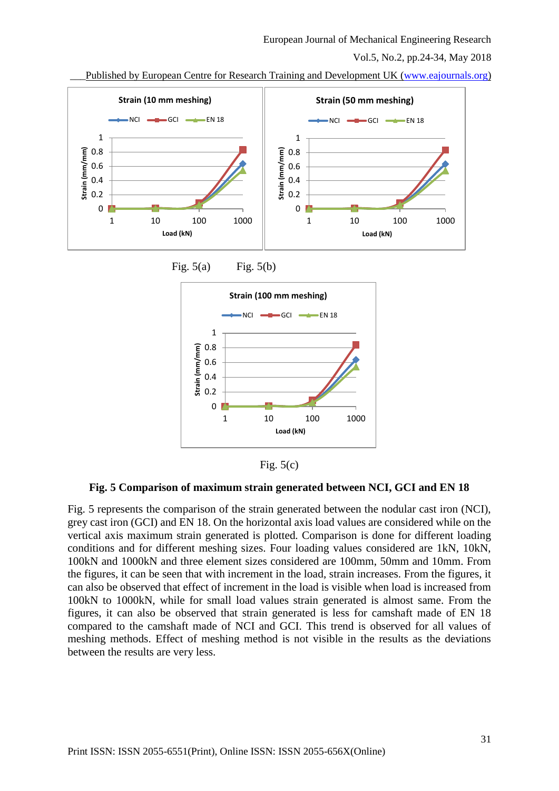#### European Journal of Mechanical Engineering Research

Vol.5, No.2, pp.24-34, May 2018

\_\_\_Published by European Centre for Research Training and Development UK [\(www.eajournals.org\)](http://www.eajournals.org/)





**Fig. 5 Comparison of maximum strain generated between NCI, GCI and EN 18**

Fig. 5 represents the comparison of the strain generated between the nodular cast iron (NCI), grey cast iron (GCI) and EN 18. On the horizontal axis load values are considered while on the vertical axis maximum strain generated is plotted. Comparison is done for different loading conditions and for different meshing sizes. Four loading values considered are 1kN, 10kN, 100kN and 1000kN and three element sizes considered are 100mm, 50mm and 10mm. From the figures, it can be seen that with increment in the load, strain increases. From the figures, it can also be observed that effect of increment in the load is visible when load is increased from 100kN to 1000kN, while for small load values strain generated is almost same. From the figures, it can also be observed that strain generated is less for camshaft made of EN 18 compared to the camshaft made of NCI and GCI. This trend is observed for all values of meshing methods. Effect of meshing method is not visible in the results as the deviations between the results are very less.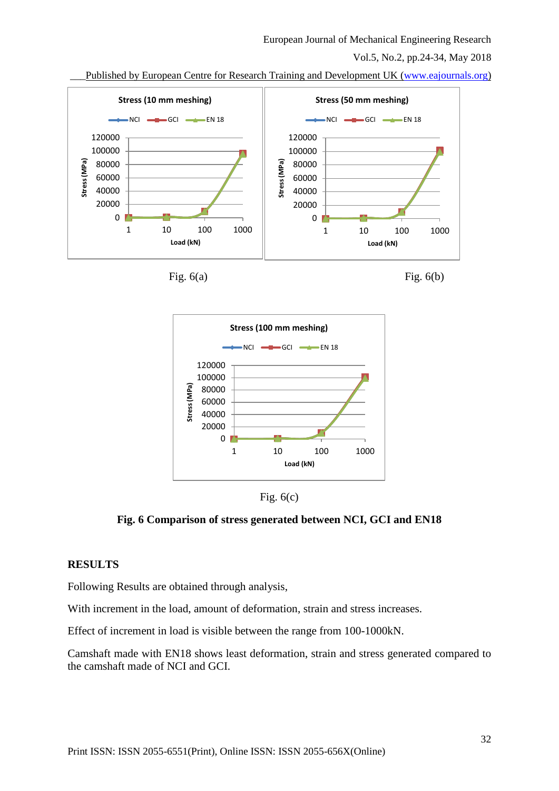#### European Journal of Mechanical Engineering Research

Vol.5, No.2, pp.24-34, May 2018

Published by European Centre for Research Training and Development UK [\(www.eajournals.org\)](http://www.eajournals.org/)











**Fig. 6 Comparison of stress generated between NCI, GCI and EN18**

# **RESULTS**

Following Results are obtained through analysis,

With increment in the load, amount of deformation, strain and stress increases.

Effect of increment in load is visible between the range from 100-1000kN.

Camshaft made with EN18 shows least deformation, strain and stress generated compared to the camshaft made of NCI and GCI.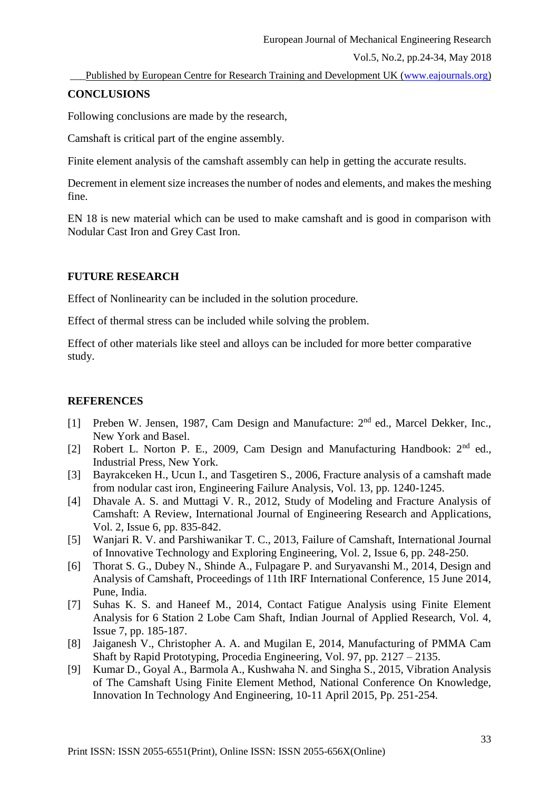Published by European Centre for Research Training and Development UK [\(www.eajournals.org\)](http://www.eajournals.org/)

# **CONCLUSIONS**

Following conclusions are made by the research,

Camshaft is critical part of the engine assembly.

Finite element analysis of the camshaft assembly can help in getting the accurate results.

Decrement in element size increases the number of nodes and elements, and makes the meshing fine.

EN 18 is new material which can be used to make camshaft and is good in comparison with Nodular Cast Iron and Grey Cast Iron.

# **FUTURE RESEARCH**

Effect of Nonlinearity can be included in the solution procedure.

Effect of thermal stress can be included while solving the problem.

Effect of other materials like steel and alloys can be included for more better comparative study.

# **REFERENCES**

- [1] Preben W. Jensen, 1987, Cam Design and Manufacture: 2<sup>nd</sup> ed., Marcel Dekker, Inc., New York and Basel.
- [2] Robert L. Norton P. E., 2009, Cam Design and Manufacturing Handbook:  $2<sup>nd</sup>$  ed., Industrial Press, New York.
- [3] Bayrakceken H., Ucun I., and Tasgetiren S., 2006, Fracture analysis of a camshaft made from nodular cast iron, Engineering Failure Analysis, Vol. 13, pp. 1240-1245.
- [4] Dhavale A. S. and Muttagi V. R., 2012, Study of Modeling and Fracture Analysis of Camshaft: A Review, International Journal of Engineering Research and Applications, Vol. 2, Issue 6, pp. 835-842.
- [5] Wanjari R. V. and Parshiwanikar T. C., 2013, Failure of Camshaft, International Journal of Innovative Technology and Exploring Engineering, Vol. 2, Issue 6, pp. 248-250.
- [6] Thorat S. G., Dubey N., Shinde A., Fulpagare P. and Suryavanshi M., 2014, Design and Analysis of Camshaft, Proceedings of 11th IRF International Conference, 15 June 2014, Pune, India.
- [7] Suhas K. S. and Haneef M., 2014, Contact Fatigue Analysis using Finite Element Analysis for 6 Station 2 Lobe Cam Shaft, Indian Journal of Applied Research, Vol. 4, Issue 7, pp. 185-187.
- [8] Jaiganesh V., Christopher A. A. and Mugilan E, 2014, Manufacturing of PMMA Cam Shaft by Rapid Prototyping, Procedia Engineering, Vol. 97, pp. 2127 – 2135.
- [9] Kumar D., Goyal A., Barmola A., Kushwaha N. and Singha S., 2015, Vibration Analysis of The Camshaft Using Finite Element Method, National Conference On Knowledge, Innovation In Technology And Engineering, 10-11 April 2015, Pp. 251-254.